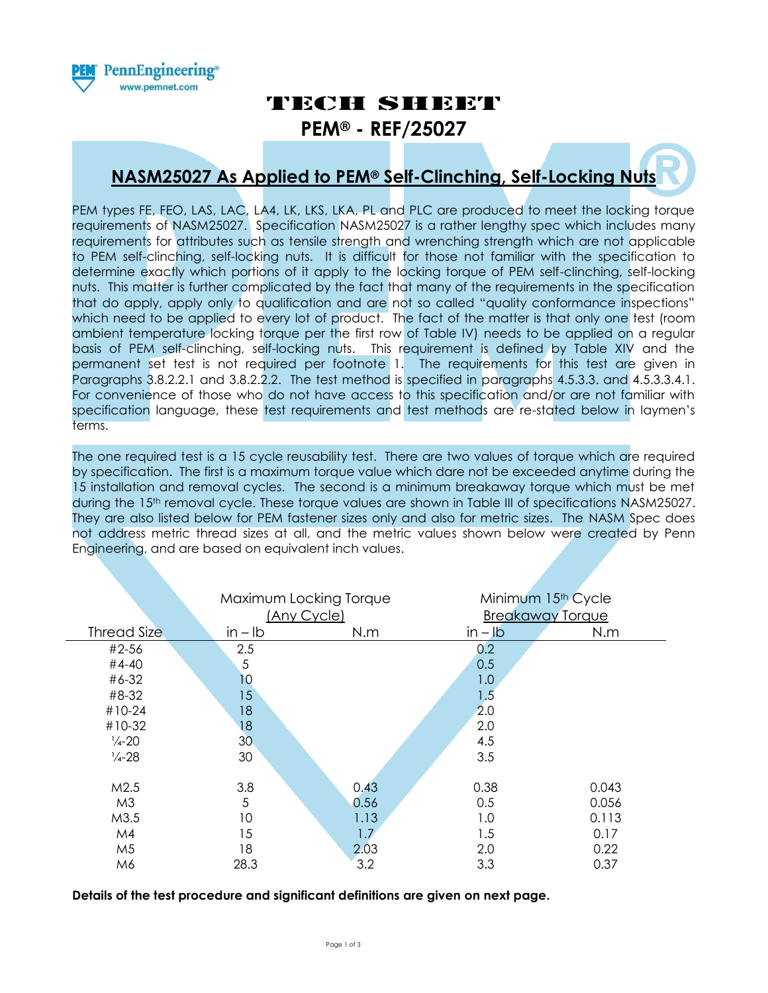

# TECH SHEET

**PEM® - REF/25027**

# **NASM25027 As Applied to PEM® Self-Clinching, Self-Locking Nuts**

PEM types FE, FEO, LAS, LAC, LA4, LK, LKS, LKA, PL and PLC are produced to meet the locking torque requirements of NASM25027. Specification NASM25027 is a rather lengthy spec which includes many requirements for attributes such as tensile strength and wrenching strength which are not applicable to PEM self-clinching, self-locking nuts. It is difficult for those not familiar with the specification to determine exactly which portions of it apply to the locking torque of PEM self-clinching, self-locking nuts. This matter is further complicated by the fact that many of the requirements in the specification that do apply, apply only to qualification and are not so called "quality conformance inspections" which need to be applied to every lot of product. The fact of the matter is that only one test (room ambient temperature locking torque per the first row of Table IV) needs to be applied on a regular basis of PEM self-clinching, self-locking nuts. This requirement is defined by Table XIV and the permanent set test is not required per footnote 1. The requirements for this test are given in Paragraphs 3.8.2.2.1 and 3.8.2.2.2. The test method is specified in paragraphs 4.5.3.3. and 4.5.3.3.4.1. For convenience of those who do not have access to this specification and/or are not familiar with specification language, these test requirements and test methods are re-stated below in laymen's terms.

The one required test is a 15 cycle reusability test. There are two values of torque which are required by specification. The first is a maximum torque value which dare not be exceeded anytime during the 15 installation and removal cycles. The second is a minimum breakaway torque which must be met during the 15<sup>th</sup> removal cycle. These torque values are shown in Table III of specifications NASM25027. They are also listed below for PEM fastener sizes only and also for metric sizes. The NASM Spec does not address metric thread sizes at all, and the metric values shown below were created by Penn Engineering, and are based on equivalent inch values.

|                    |                 | Maximum Locking Torque<br>(Any Cycle) |           | Minimum 15 <sup>th</sup> Cycle<br><b>Breakaway Torque</b> |  |
|--------------------|-----------------|---------------------------------------|-----------|-----------------------------------------------------------|--|
| <b>Thread Size</b> | $in - lb$       | N.m                                   | $in - lb$ | N.m                                                       |  |
| #2-56              | 2.5             |                                       | 0.2       |                                                           |  |
| #4-40              | 5               |                                       | 0.5       |                                                           |  |
| #6-32              | 10              |                                       | 1.0       |                                                           |  |
| #8-32              | 15              |                                       | 1.5       |                                                           |  |
| #10-24             | 18              |                                       | 2.0       |                                                           |  |
| #10-32             | 18              |                                       | 2.0       |                                                           |  |
| $\frac{1}{4} - 20$ | 30 <sub>o</sub> |                                       | 4.5       |                                                           |  |
| $\frac{1}{4} - 28$ | 30              |                                       | 3.5       |                                                           |  |
|                    |                 |                                       |           |                                                           |  |
| M2.5               | 3.8             | 0,43                                  | 0.38      | 0.043                                                     |  |
| M <sub>3</sub>     | 5               | 0.56                                  | 0.5       | 0.056                                                     |  |
| M3.5               | 10              | 1.13                                  | 1.0       | 0.113                                                     |  |
| M4                 | 15              | 1.7                                   | 1.5       | 0.17                                                      |  |
| M <sub>5</sub>     | 18              | 2.03                                  | 2.0       | 0.22                                                      |  |
| M6                 | 28.3            | 3.2                                   | 3.3       | 0.37                                                      |  |

**Details of the test procedure and significant definitions are given on next page.**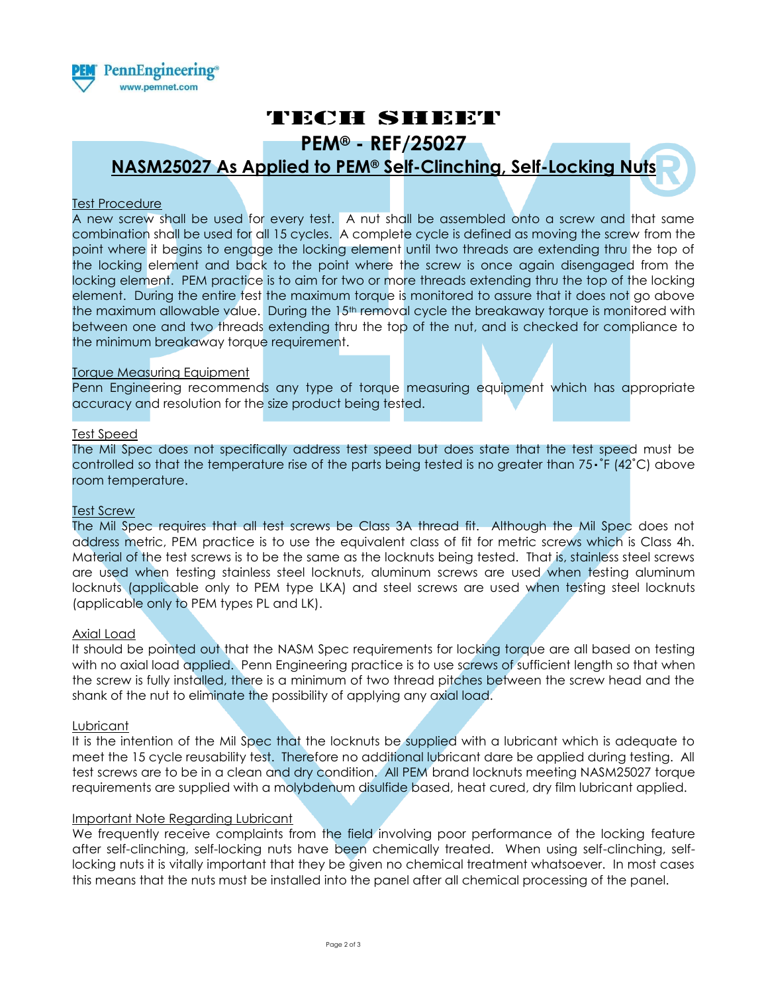

# TECH SHEET

**PEM® - REF/25027**

## **NASM25027 As Applied to PEM® Self-Clinching, Self-Locking Nuts**

### Test Procedure

A new screw shall be used for every test. A nut shall be assembled onto a screw and that same combination shall be used for all 15 cycles. A complete cycle is defined as moving the screw from the point where it begins to engage the locking element until two threads are extending thru the top of the locking element and back to the point where the screw is once again disengaged from the locking element. PEM practice is to aim for two or more threads extending thru the top of the locking element. During the entire test the maximum torque is monitored to assure that it does not go above the maximum allowable value. During the 15<sup>th</sup> removal cycle the breakaway torque is monitored with between one and two threads extending thru the top of the nut, and is checked for compliance to the minimum breakaway torque requirement.

### Torque Measuring Equipment

Penn Engineering recommends any type of torque measuring equipment which has appropriate accuracy and resolution for the size product being tested.

### Test Speed

The Mil Spec does not specifically address test speed but does state that the test speed must be controlled so that the temperature rise of the parts being tested is no greater than  $75 \cdot \text{F}$  (42°C) above room temperature.

### Test Screw

The Mil Spec requires that all test screws be Class 3A thread fit. Although the Mil Spec does not address metric, PEM practice is to use the equivalent class of fit for metric screws which is Class 4h. Material of the test screws is to be the same as the locknuts being tested. That is, stainless steel screws are used when testing stainless steel locknuts, aluminum screws are used when testing aluminum locknuts (applicable only to PEM type LKA) and steel screws are used when testing steel locknuts (applicable only to PEM types PL and LK).

#### Axial Load

It should be pointed out that the NASM Spec requirements for locking torque are all based on testing with no axial load applied. Penn Engineering practice is to use screws of sufficient length so that when the screw is fully installed, there is a minimum of two thread pitches between the screw head and the shank of the nut to eliminate the possibility of applying any axial load.

#### Lubricant

It is the intention of the Mil Spec that the locknuts be supplied with a lubricant which is adequate to meet the 15 cycle reusability test. Therefore no additional lubricant dare be applied during testing. All test screws are to be in a clean and dry condition. All PEM brand locknuts meeting NASM25027 torque requirements are supplied with a molybdenum disulfide based, heat cured, dry film lubricant applied.

#### Important Note Regarding Lubricant

We frequently receive complaints from the field involving poor performance of the locking feature after self-clinching, self-locking nuts have been chemically treated. When using self-clinching, selflocking nuts it is vitally important that they be given no chemical treatment whatsoever. In most cases this means that the nuts must be installed into the panel after all chemical processing of the panel.